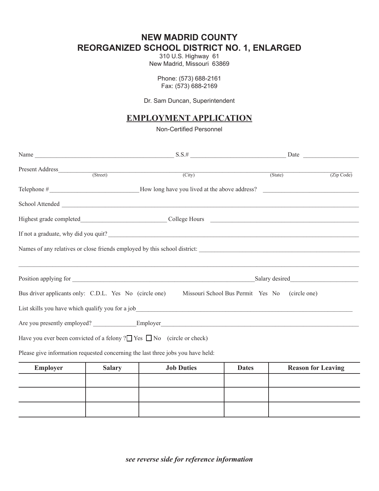## **NEW MADRID COUNTY REORGANIZED SCHOOL DISTRICT NO. 1, ENLARGED**

310 U.S. Highway 61 New Madrid, Missouri 63869

> Phone: (573) 688-2161 Fax: (573) 688-2169

Dr. Sam Duncan, Superintendent

## **EMPLOYMENT APPLICATION**

Non-Certified Personnel

|                                                                                   |               | Name $S.S.$ # $Date$                                                            |                                                |                           |            |  |
|-----------------------------------------------------------------------------------|---------------|---------------------------------------------------------------------------------|------------------------------------------------|---------------------------|------------|--|
|                                                                                   |               | Present Address (Street) (Street) (City) (State)                                |                                                |                           | (Zip Code) |  |
|                                                                                   |               |                                                                                 |                                                |                           |            |  |
|                                                                                   |               |                                                                                 |                                                |                           |            |  |
|                                                                                   |               |                                                                                 |                                                |                           |            |  |
|                                                                                   |               |                                                                                 |                                                |                           |            |  |
| Names of any relatives or close friends employed by this school district:         |               |                                                                                 |                                                |                           |            |  |
|                                                                                   |               |                                                                                 |                                                |                           |            |  |
|                                                                                   |               |                                                                                 |                                                |                           |            |  |
| Bus driver applicants only: C.D.L. Yes No (circle one)                            |               |                                                                                 | Missouri School Bus Permit Yes No (circle one) |                           |            |  |
|                                                                                   |               |                                                                                 |                                                |                           |            |  |
|                                                                                   |               |                                                                                 |                                                |                           |            |  |
| Have you ever been convicted of a felony ? $\Box$ Yes $\Box$ No (circle or check) |               |                                                                                 |                                                |                           |            |  |
|                                                                                   |               | Please give information requested concerning the last three jobs you have held: |                                                |                           |            |  |
| <b>Employer</b>                                                                   | <b>Salary</b> | <b>Job Duties</b>                                                               | <b>Dates</b>                                   | <b>Reason for Leaving</b> |            |  |
|                                                                                   |               |                                                                                 |                                                |                           |            |  |
|                                                                                   |               |                                                                                 |                                                |                           |            |  |
|                                                                                   |               |                                                                                 |                                                |                           |            |  |

*see reverse side for reference information*